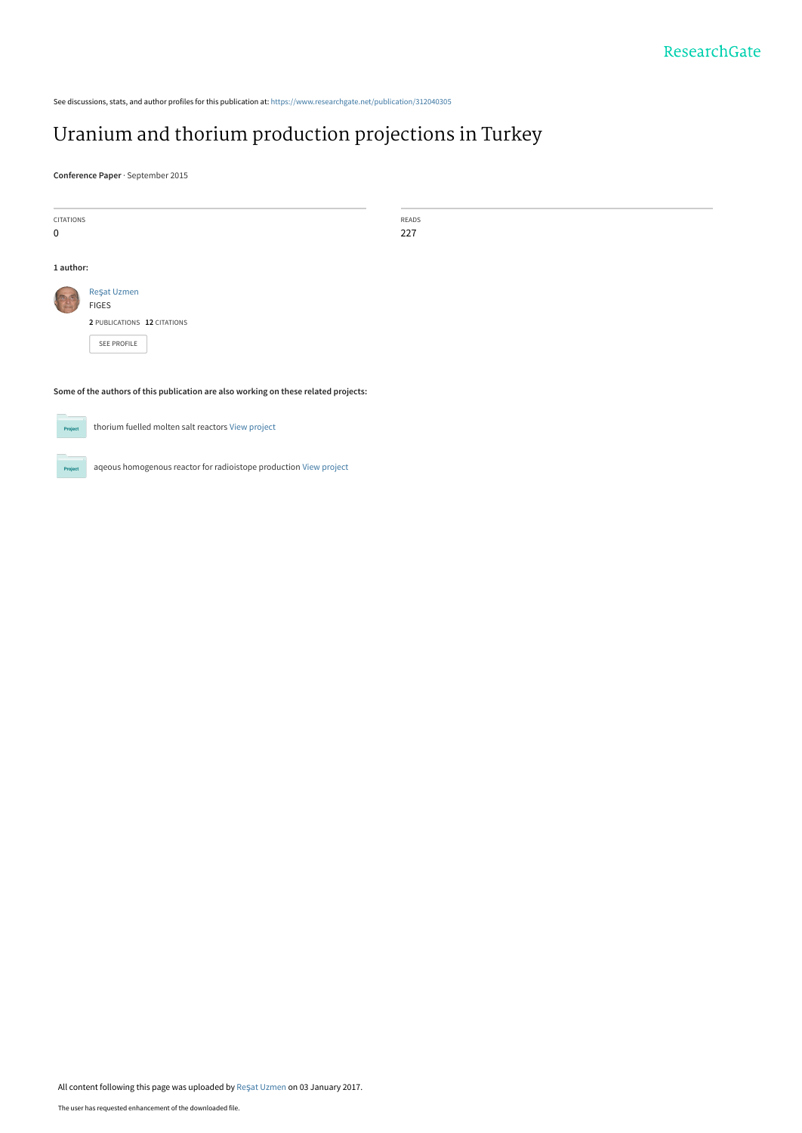See discussions, stats, and author profiles for this publication at: [https://www.researchgate.net/publication/312040305](https://www.researchgate.net/publication/312040305_Uranium_and_thorium_production_projections_in_Turkey?enrichId=rgreq-8de8475e1d61beceda7d53a4e2994904-XXX&enrichSource=Y292ZXJQYWdlOzMxMjA0MDMwNTtBUzo0NDY0OTA4NDY5OTQ0MzNAMTQ4MzQ2MzEyMTkzMw%3D%3D&el=1_x_2&_esc=publicationCoverPdf)

# [Uranium and thorium production projections in Turkey](https://www.researchgate.net/publication/312040305_Uranium_and_thorium_production_projections_in_Turkey?enrichId=rgreq-8de8475e1d61beceda7d53a4e2994904-XXX&enrichSource=Y292ZXJQYWdlOzMxMjA0MDMwNTtBUzo0NDY0OTA4NDY5OTQ0MzNAMTQ4MzQ2MzEyMTkzMw%3D%3D&el=1_x_3&_esc=publicationCoverPdf)

**Conference Paper** · September 2015

| <b>CITATIONS</b>                                                                    |                                                   | READS |  |
|-------------------------------------------------------------------------------------|---------------------------------------------------|-------|--|
| 0                                                                                   |                                                   | 227   |  |
|                                                                                     |                                                   |       |  |
| 1 author:                                                                           |                                                   |       |  |
|                                                                                     | Reşat Uzmen                                       |       |  |
|                                                                                     | <b>FIGES</b>                                      |       |  |
|                                                                                     | 2 PUBLICATIONS 12 CITATIONS                       |       |  |
|                                                                                     | SEE PROFILE                                       |       |  |
|                                                                                     |                                                   |       |  |
|                                                                                     |                                                   |       |  |
| Some of the authors of this publication are also working on these related projects: |                                                   |       |  |
|                                                                                     |                                                   |       |  |
| Project                                                                             | thorium fuelled molten salt reactors View project |       |  |
|                                                                                     |                                                   |       |  |

aqeous homogenous reactor for radioistope production [View project](https://www.researchgate.net/project/aqeous-homogenous-reactor-for-radioistope-production?enrichId=rgreq-8de8475e1d61beceda7d53a4e2994904-XXX&enrichSource=Y292ZXJQYWdlOzMxMjA0MDMwNTtBUzo0NDY0OTA4NDY5OTQ0MzNAMTQ4MzQ2MzEyMTkzMw%3D%3D&el=1_x_9&_esc=publicationCoverPdf) **Project** 

All content following this page was uploaded by Reş[at Uzmen](https://www.researchgate.net/profile/Resat_Uzmen?enrichId=rgreq-8de8475e1d61beceda7d53a4e2994904-XXX&enrichSource=Y292ZXJQYWdlOzMxMjA0MDMwNTtBUzo0NDY0OTA4NDY5OTQ0MzNAMTQ4MzQ2MzEyMTkzMw%3D%3D&el=1_x_10&_esc=publicationCoverPdf) on 03 January 2017.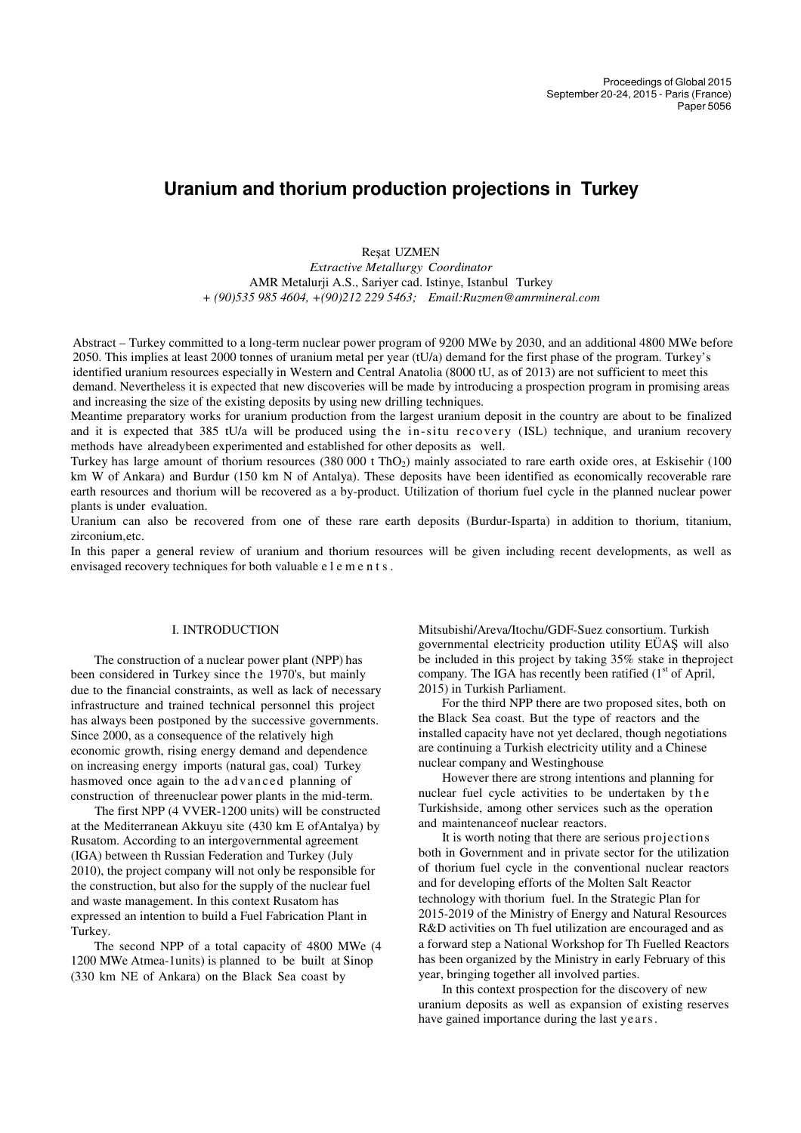## **Uranium and thorium production projections in Turkey**

Reşat UZMEN

*Extractive Metallurgy Coordinator* AMR Metalurji A.S., Sariyer cad. Istinye, Istanbul Turkey *+ (90)535 985 4604, +(90)212 229 5463; Email:Ruzmen@amrmineral.com*

Abstract – Turkey committed to a long-term nuclear power program of 9200 MWe by 2030, and an additional 4800 MWe before 2050. This implies at least 2000 tonnes of uranium metal per year (tU/a) demand for the first phase of the program. Turkey's identified uranium resources especially in Western and Central Anatolia (8000 tU, as of 2013) are not sufficient to meet this demand. Nevertheless it is expected that new discoveries will be made by introducing a prospection program in promising areas and increasing the size of the existing deposits by using new drilling techniques.

Meantime preparatory works for uranium production from the largest uranium deposit in the country are about to be finalized and it is expected that 385 tU/a will be produced using the in-situ recovery (ISL) technique, and uranium recovery methods have already been experimented and established for other deposits as well.

Turkey has large amount of thorium resources (380 000 t ThO<sub>2</sub>) mainly associated to rare earth oxide ores, at Eskisehir (100) km W of Ankara) and Burdur (150 km N of Antalya). These deposits have been identified as economically recoverable rare earth resources and thorium will be recovered as a by-product. Utilization of thorium fuel cycle in the planned nuclear power plants is under evaluation.

Uranium can also be recovered from one of these rare earth deposits (Burdur-Isparta) in addition to thorium, titanium, zirconium, etc.

In this paper a general review of uranium and thorium resources will be given including recent developments, as well as envisaged recovery techniques for both valuable e l e m e n t s .

#### I. INTRODUCTION

The construction of a nuclear power plant (NPP) has been considered in Turkey since the 1970's, but mainly due to the financial constraints, as well as lack of necessary infrastructure and trained technical personnel this project has always been postponed by the successive governments. Since 2000, as a consequence of the relatively high economic growth, rising energy demand and dependence on increasing energy imports (natural gas, coal) Turkey has moved once again to the advanced planning of construction of three nuclear power plants in the mid-term.

The first NPP (4 VVER-1200 units) will be constructed at the Mediterranean Akkuyu site (430 km E of Antalya) by Rusatom. According to an intergovernmental agreement (IGA) between th Russian Federation and Turkey (July 2010), the project company will not only be responsible for the construction, but also for the supply of the nuclear fuel and waste management. In this context Rusatom has expressed an intention to build a Fuel Fabrication Plant in Turkey.

The second NPP of a total capacity of 4800 MWe (4 1200 MWe Atmea-1units) is planned to be built at Sinop (330 km NE of Ankara) on the Black Sea coast by

Mitsubishi/Areva/Itochu/GDF-Suez consortium. Turkish governmental electricity production utility EÜAŞ will also be included in this project by taking 35% stake in the project company. The IGA has recently been ratified  $(1<sup>st</sup>$  of April, 2015) in Turkish Parliament.

For the third NPP there are two proposed sites, both on the Black Sea coast. But the type of reactors and the installed capacity have not yet declared, though negotiations are continuing a Turkish electricity utility and a Chinese nuclear company and Westinghouse

However there are strong intentions and planning for nuclear fuel cycle activities to be undertaken by the Turkish side, among other services such as the operation and maintenance of nuclear reactors.

It is worth noting that there are serious projections both in Government and in private sector for the utilization of thorium fuel cycle in the conventional nuclear reactors and for developing efforts of the Molten Salt Reactor technology with thorium fuel. In the Strategic Plan for 2015-2019 of the Ministry of Energy and Natural Resources R&D activities on Th fuel utilization are encouraged and as a forward step a National Workshop for Th Fuelled Reactors has been organized by the Ministry in early February of this year, bringing together all involved parties.

In this context prospection for the discovery of new uranium deposits as well as expansion of existing reserves have gained importance during the last years.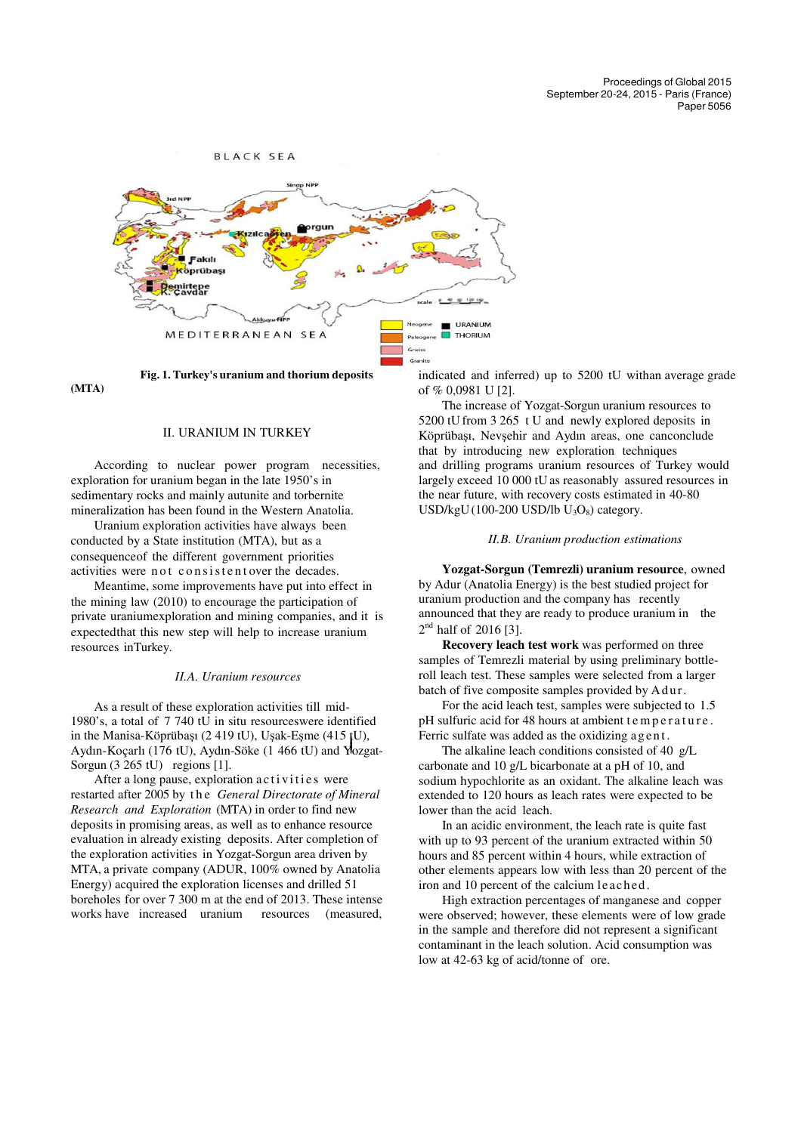

**(MTA)**

#### II. URANIUM IN TURKEY

According to nuclear power program necessities, exploration for uranium began in the late 1950's in sedimentary rocks and mainly autunite and torbernite mineralization has been found in the Western Anatolia.

Uranium exploration activities have always been conducted by a State institution (MTA), but as a consequence of the different government priorities activities were not consistent over the decades.

Meantime, some improvements have put into effect in the mining law (2010) to encourage the participation of private uranium exploration and mining companies, and it is expected that this new step will help to increase uranium resources in Turkey.

#### *II.A. Uranium resources*

. Aydın-Koçarlı (176 tU), Aydın-Söke (1 466 tU) and Yozgat-As a result of these exploration activities till mid-1980's, a total of 7 740 tU in situ resources were identified in the Manisa-Köprübaşı (2 419 tU), Uşak-Eşme (415 tU), Sorgun (3 265 tU) regions [1].

After a long pause, exploration activities were restarted after 2005 by t h e *General Directorate of Mineral Research and Exploration* (MTA) in order to find new deposits in promising areas, as well as to enhance resource evaluation in already existing deposits. After completion of the exploration activities in Yozgat-Sorgun area driven by MTA, a private company (ADUR, 100% owned by Anatolia Energy) acquired the exploration licenses and drilled 51 boreholes for over 7 300 m at the end of 2013. These intense works have increased uranium resources (measured,

indicated and inferred) up to  $5200$  tU with an average grade of % 0,0981 U [2].

The increase of Yozgat-Sorgun uranium resources to 5200 tU from 3 265 t U and newly explored deposits in Köprübası, Nevsehir and Aydın areas, one canconclude that by introducing new exploration techniques and drilling programs uranium resources of Turkey would largely exceed 10 000 tU as reasonably assured resources in the near future, with recovery costs estimated in 40-80  $USD/kgU(100-200$  USD/lb  $U_3O_8$ ) category.

#### *II.B. Uranium production estimations*

**Yozgat-Sorgun (Temrezli) uranium resource**, owned by Adur (Anatolia Energy) is the best studied project for uranium production and the company has recently announced that they are ready to produce uranium in the  $2<sup>nd</sup>$  half of 2016 [3].

**Recovery leach test work** was performed on three samples of Temrezli material by using preliminary bottleroll leach test. These samples were selected from a larger batch of five composite samples provided by Adur.

For the acid leach test, samples were subjected to 1.5 pH sulfuric acid for 48 hours at ambient temperature. Ferric sulfate was added as the oxidizing a g e n t.

The alkaline leach conditions consisted of 40 g/L carbonate and 10 g/L bicarbonate at a pH of 10, and sodium hypochlorite as an oxidant. The alkaline leach was extended to 120 hours as leach rates were expected to be lower than the acid leach.

In an acidic environment, the leach rate is quite fast with up to 93 percent of the uranium extracted within 50 hours and 85 percent within 4 hours, while extraction of other elements appears low with less than 20 percent of the iron and 10 percent of the calcium leached.

High extraction percentages of manganese and copper were observed; however, these elements were of low grade in the sample and therefore did not represent a significant contaminant in the leach solution. Acid consumption was low at 42-63 kg of acid/tonne of ore.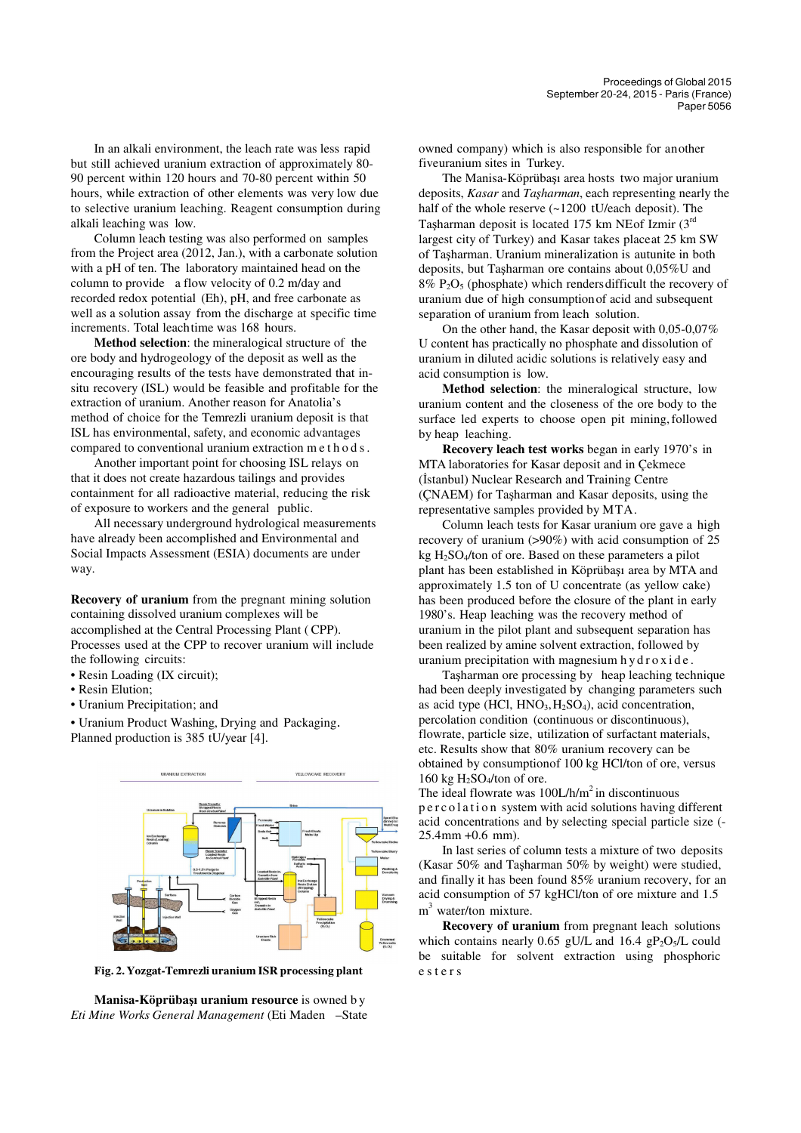In an alkali environment, the leach rate was less less rapid but still achieved uranium extraction of approximately 80-90 percent within 120 hours and 70-80 percent percent within 50 hours, while extraction of other elements was was very low due to selective uranium leaching. Reagent consumption during alkali leaching was low.

Column leach testing was also performed on samples from the Project area (2012, Jan.), with a carbonate solution with a pH of ten. The laboratory maintained head on the column to provide a flow velocity of 0.2 m/day and recorded redox potential (Eh), pH, and free carbonate as well as a solution assay from the discharge at specific time increments. Total leach time was 168 hours.

Method selection: the mineralogical structure of the ore body and hydrogeology of the deposit as well as the encouraging results of the tests have demonstrated that insitu recovery (ISL) would be feasible and profitable for the extraction of uranium. Another reason for Anatolia's method of choice for the Temrezli uranium deposit is that ISL has environmental, safety, and economic advantages compared to conventional uranium extraction m e t h o d s .

Another important point for choosing ISL relays on that it does not create hazardous tailings and provides containment for all radioactive material, reducing the risk of exposure to workers and the general public.

All necessary underground hydrological hydrological measurements have already been accomplished and Environmental Environmental and Social Impacts Assessment (ESIA) documents are under way.

**Recovery of uranium** from the pregnant mining solution containing dissolved uranium complexes will be accomplished at the Central Processing Plant ( CPP). Processes used at the CPP to recover uranium will include the following circuits:

- Resin Loading (IX circuit);
- Resin Elution;
- Uranium Precipitation; and
- Uranium Product Washing, Drying and Packaging . Planned production is 385 tU/year [4].



**Fig. 2. Yozgat-Temrezli uranium ISR processing processing plant**

**Manisa-Köprübaşı uranium resource**  is owned b y *Eti Mine Works General Management* (Eti Maden –State

owned company) which is also responsible for another fiveuranium sites in Turkey.

The Manisa-Köprübaşı area hosts two major uranium deposits, *Kasar* and *Taşharman* , each representing nearly the half of the whole reserve (~1200 tU/each deposit). The Taşharman deposit is located 175 km NE of Izmir  $(3<sup>rd</sup>$ largest city of Turkey) and Kasar takes placeat 25 km SW of Taşharman. Uranium mineralization is is autunite in both deposits, but Taşharman ore contains about 0,05%U and  $8\%$  P<sub>2</sub>O<sub>5</sub> (phosphate) which renders difficult the recovery of uranium due of high consumption of acid and subsequent separation of uranium from leach solution.

On the other hand, the Kasar deposit with 0,05-0,07% U content has practically no phosphate and dissolution of uranium in diluted acidic solutions is relatively easy and acid consumption is low.

Method selection: the mineralogical structure, low uranium content and the closeness of the ore body to the surface led experts to choose open pit mining, followed by heap leaching.

**Recovery leach test works**  began in early 1970's in MTA laboratories for Kasar deposit and in Çekmece (İstanbul) Nuclear Research and Training Centre (ÇNAEM) for Taşharman and Kasar deposits, using the representative samples provided by MTA.

Column leach tests for Kasar uranium ore gave a a high recovery of uranium  $(>90%)$  with acid consumption of 25  $kg H<sub>2</sub>SO<sub>4</sub>/ton$  of ore. Based on these parameters a pilot plant has been established in Köprüba şı area by MTA and approximately 1.5 ton of U concentrate (as yellow cake) has been produced before the closure of the plant in early 1980's. Heap leaching was the recovery method of uranium in the pilot plant and subsequent separation has been realized by amine solvent extraction, followed by uranium precipitation with magnesium hydroxide.

Taşharman ore processing by heap leaching technique had been deeply investigated by changing parameters such as acid type  $(HCl, HNO<sub>3</sub>, H<sub>2</sub>SO<sub>4</sub>)$ , acid concentration, percolation condition (continuous or discontinuous), flowrate, particle size, utilization of surfactant materials, etc. Results show that 80% uranium recovery can be obtained by consumption of 100 kg HCl/ton of ore, versus 160 kg  $H_2SO_4$ /ton of ore.

The ideal flowrate was  $100L/h/m^2$  in discontinuous p e r c o l a t i o n system with acid solutions having different acid concentrations and by selecting special particle size (- $25.4$  mm  $+0.6$  mm).

In last series of column tests a mixture of two deposits (Kasar 50% and Taşharman 50% 50% by weight) were studied, and finally it has been found 85% 85% uranium recovery, for an acid consumption of 57 kgHCl/ton of ore mixture and 1.5 m<sup>3</sup> water/ton mixture.

**Recovery of uranium** from pregnant leach solutions which contains nearly  $0.65$  gU/L and  $16.4$  gP<sub>2</sub>O<sub>5</sub>/L could be suitable for solvent extraction using phosphoric e s t e r s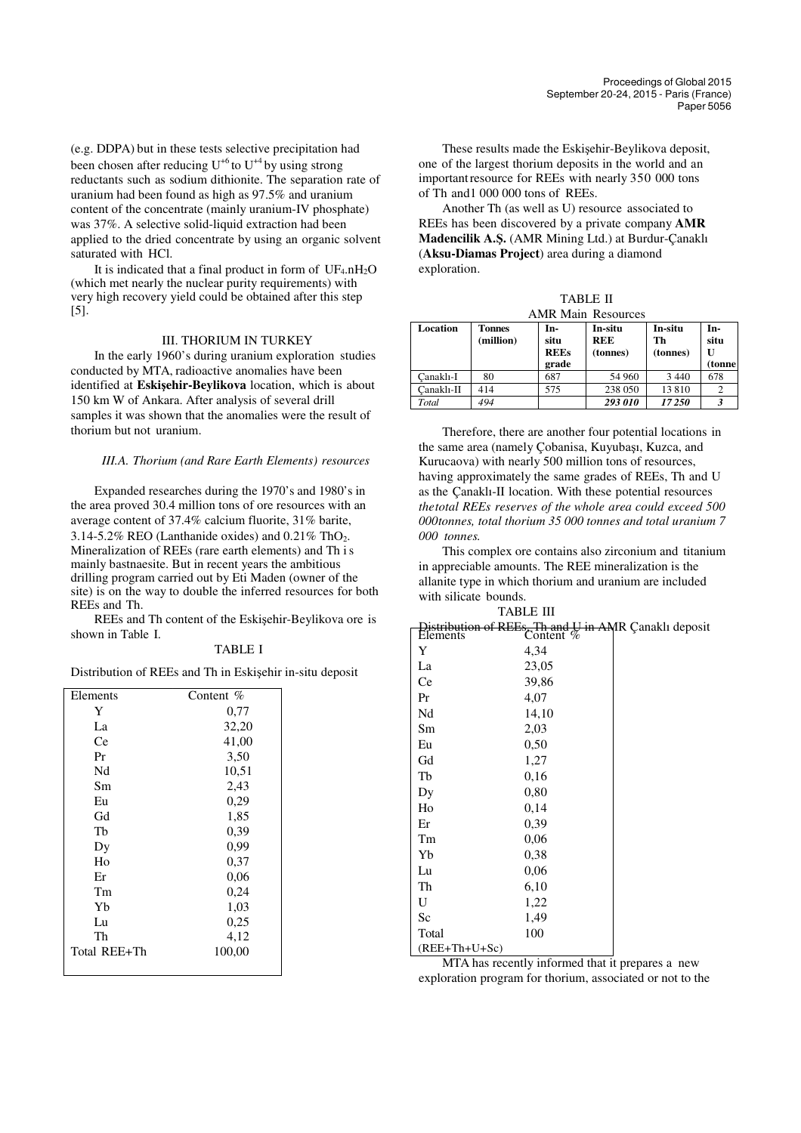(e.g. DDPA) but in these tests selective precipitation had been chosen after reducing  $U^{+6}$  to  $U^{+4}$  by using strong reductants such as sodium dithionite. The separation rate of uranium had been found as high as 97.5% and uranium content of the concentrate (mainly uranium-IV phosphate) was 37%. A selective solid-liquid extraction had been applied to the dried concentrate by using an organic solvent saturated with HCl.

It is indicated that a final product in form of  $UF_4. nH_2O$ (which met nearly the nuclear purity requirements) with very high recovery yield could be obtained after this step [5].

#### III. THORIUM IN TURKEY

In the early 1960's during uranium exploration studies conducted by MTA, radioactive anomalies have been identified at **Eskişehir-Beylikova** location, which is about 150 km W of Ankara. After analysis of several drill samples it was shown that the anomalies were the result of thorium but not uranium.

#### *III.A. Thorium (and Rare Earth Elements) resources*

Expanded researches during the 1970's and 1980's in the area proved 30.4 million tons of ore resources with an average content of 37.4% calcium fluorite, 31% barite, 3.14-5.2% REO (Lanthanide oxides) and  $0.21\%$  ThO<sub>2</sub>. Mineralization of REEs (rare earth elements) and Th i s mainly bastnaesite. But in recent years the ambitious drilling program carried out by Eti Maden (owner of the site) is on the way to double the inferred resources for both REEs and Th.

REEs and Th content of the Eskişehir-Beylikova ore is shown in Table I.

#### TABLE I

Distribution of REEs and Th in Eskişehir in-situ deposit

| Elements     | Content $%$ |
|--------------|-------------|
| Y            | 0,77        |
| La           | 32,20       |
| Ce           | 41,00       |
| Pr           | 3,50        |
| Nd           | 10,51       |
| Sm           | 2,43        |
| Eu           | 0,29        |
| Gd           | 1,85        |
| Th           | 0,39        |
| Dy           | 0,99        |
| Ho           | 0,37        |
| Er           | 0,06        |
| Tm           | 0,24        |
| Yb           | 1,03        |
| Lu           | 0,25        |
| Th           | 4,12        |
| Total REE+Th | 100,00      |
|              |             |

These results made the Eskişehir-Beylikova deposit, one of the largest thorium deposits in the world and an important resource for REEs with nearly 350 000 tons of Th and 1 000 000 tons of REEs.

Another Th (as well as U) resource associated to REEs has been discovered by a private company **AMR Madencilik A.Ş.** (AMR Mining Ltd.) at Burdur-Çanaklı (**Aksu-Diamas Project**) area during a diamond exploration.

| <b>TABLE II</b>           |  |  |  |
|---------------------------|--|--|--|
| <b>AMR Main Resources</b> |  |  |  |

| Location   | <b>Tonnes</b><br>(million) | In-<br>situ<br><b>REEs</b><br>grade | In-situ<br><b>REE</b><br>(tonnes) | In-situ<br>Th<br>(tonnes) | In-<br>situ<br>U<br>(tonne) |
|------------|----------------------------|-------------------------------------|-----------------------------------|---------------------------|-----------------------------|
| Canaklı-I  | 80                         | 687                                 | 54 960                            | 3 4 4 0                   | 678                         |
| Canaklı-II | 414                        | 575                                 | 238 050                           | 13810                     |                             |
| Total      | 494                        |                                     | 293 010                           | 17 250                    |                             |

Therefore, there are another four potential locations in the same area (namely Çobanisa, Kuyubaşı, Kuzca, and Kurucaova) with nearly 500 million tons of resources, having approximately the same grades of REEs, Th and U as the Çanaklı-II location. With these potential resources *the total REEs reserves of the whole area could exceed 500 000 tonnes, total thorium 35 000 tonnes and total uranium 7 000 tonnes.*

This complex ore contains also zirconium and titanium in appreciable amounts. The REE mineralization is the allanite type in which thorium and uranium are included with silicate bounds. TABLE III

|                 | търге пі     |                                                |
|-----------------|--------------|------------------------------------------------|
| Elements        | Content $\%$ | ution of REEs, Th and U in AMR Canaklı deposit |
| Y               | 4,34         |                                                |
| La              | 23,05        |                                                |
| Ce              | 39,86        |                                                |
| Pr              | 4,07         |                                                |
| Nd              | 14,10        |                                                |
| Sm              | 2,03         |                                                |
| Eu              | 0,50         |                                                |
| Gd              | 1,27         |                                                |
| Tb              | 0,16         |                                                |
| Dy              | 0,80         |                                                |
| Ho              | 0,14         |                                                |
| Er              | 0,39         |                                                |
| Tm              | 0,06         |                                                |
| Yb              | 0,38         |                                                |
| Lu              | 0,06         |                                                |
| Th              | 6,10         |                                                |
| U               | 1,22         |                                                |
| Sc              | 1,49         |                                                |
| Total           | 100          |                                                |
| $(REE+Th+U+Sc)$ |              |                                                |

MTA has recently informed that it prepares a new exploration program for thorium, associated or not to the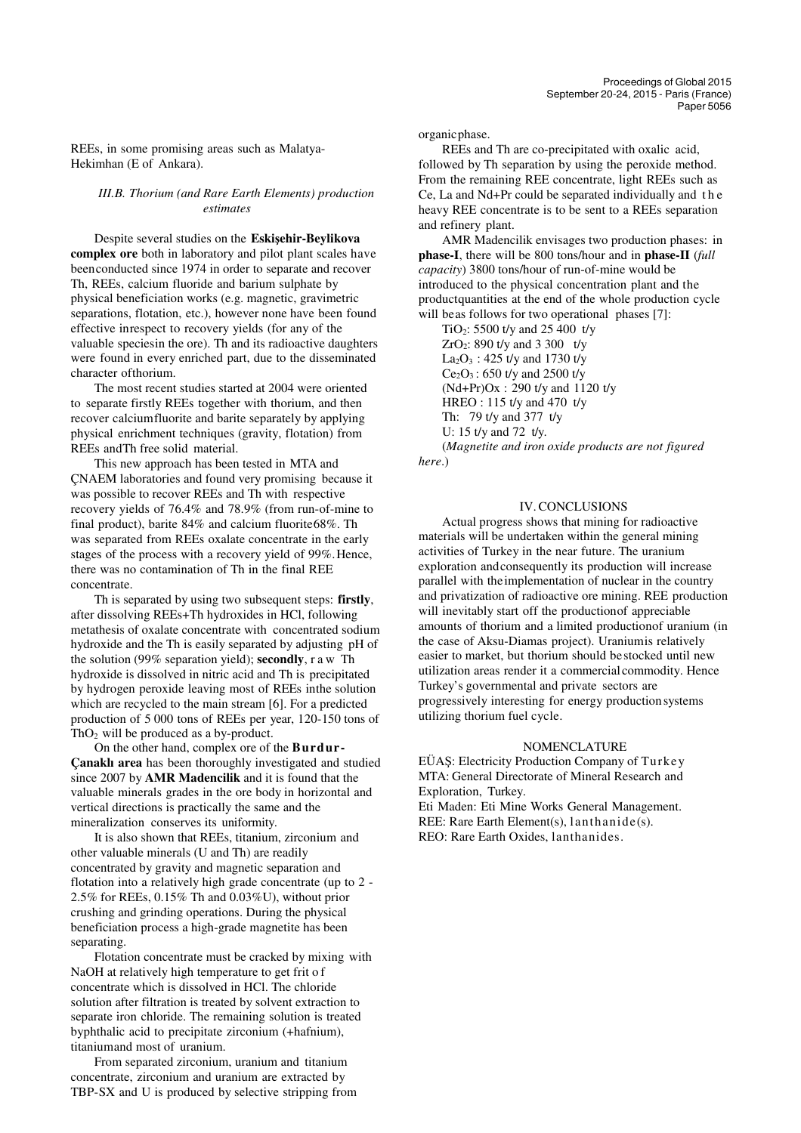REEs, in some promising areas such as Malatya-Hekimhan (E of Ankara).

#### *III.B. Thorium (and Rare Earth Elements) production estimates*

Despite several studies on the **Eskişehir-Beylikova complex ore** both in laboratory and pilot plant scales have been conducted since 1974 in order to separate and recover Th, REEs, calcium fluoride and barium sulphate by physical beneficiation works (e.g. magnetic, gravimetric separations, flotation, etc.), however none have been found effective in respect to recovery yields (for any of the valuable species in the ore). Th and its radioactive daughters were found in every enriched part, due to the disseminated character of thorium.

The most recent studies started at 2004 were oriented to separate firstly REEs together with thorium, and then recover calcium fluorite and barite separately by applying physical enrichment techniques (gravity, flotation) from REEs and Th free solid material.

This new approach has been tested in MTA and ÇNAEM laboratories and found very promising because it was possible to recover REEs and Th with respective recovery yields of 76.4% and 78.9% (from run-of-mine to final product), barite 84% and calcium fluorite 68%. Th was separated from REEs oxalate concentrate in the early stages of the process with a recovery yield of 99%. Hence, there was no contamination of Th in the final REE concentrate.

Th is separated by using two subsequent steps: **firstly**, after dissolving REEs+Th hydroxides in HCl, following metathesis of oxalate concentrate with concentrated sodium hydroxide and the Th is easily separated by adjusting pH of the solution (99% separation yield); **secondly**, r a w Th hydroxide is dissolved in nitric acid and Th is precipitated by hydrogen peroxide leaving most of REEs in the solution which are recycled to the main stream [6]. For a predicted production of 5 000 tons of REEs per year, 120-150 tons of Th $O<sub>2</sub>$  will be produced as a by-product.

On the other hand, complex ore of the **Burdur-Çanaklı area** has been thoroughly investigated and studied since 2007 by **AMR Madencilik** and it is found that the valuable minerals grades in the ore body in horizontal and vertical directions is practically the same and the mineralization conserves its uniformity.

It is also shown that REEs, titanium, zirconium and other valuable minerals (U and Th) are readily concentrated by gravity and magnetic separation and flotation into a relatively high grade concentrate (up to 2 - 2.5% for REEs, 0.15% Th and 0.03%U), without prior crushing and grinding operations. During the physical beneficiation process a high-grade magnetite has been separating.

Flotation concentrate must be cracked by mixing with NaOH at relatively high temperature to get frit o f concentrate which is dissolved in HCl. The chloride solution after filtration is treated by solvent extraction to separate iron chloride. The remaining solution is treated by phthalic acid to precipitate zirconium (+hafnium), titanium and most of uranium.

From separated zirconium, uranium and titanium concentrate, zirconium and uranium are extracted by TBP-SX and U is produced by selective stripping from organic phase.

REEs and Th are co-precipitated with oxalic acid, followed by Th separation by using the peroxide method. From the remaining REE concentrate, light REEs such as Ce, La and Nd+Pr could be separated individually and t h e heavy REE concentrate is to be sent to a REEs separation and refinery plant.

AMR Madencilik envisages two production phases: in **phase-I**, there will be 800 tons/hour and in **phase-II** (*full capacity*) 3800 tons/hour of run-of-mine would be introduced to the physical concentration plant and the product quantities at the end of the whole production cycle will be as follows for two operational phases [7]:

TiO2: 5500 t/y and 25 400 t/y  $ZrO_2$ : 890 t/y and 3 300 t/y  $La_2O_3$ : 425 t/y and 1730 t/y  $Ce<sub>2</sub>O<sub>3</sub>$ : 650 t/y and 2500 t/y (Nd+Pr)Ox : 290 t/y and 1120 t/y HREO : 115 t/y and 470 t/y Th: 79 t/y and 377 t/y U: 15 t/y and 72 t/y. (*Magnetite and iron oxide products are not figured*

*here*.)

### IV.CONCLUSIONS

Actual progress shows that mining for radioactive materials will be undertaken within the general mining activities of Turkey in the near future. The uranium exploration and consequently its production will increase parallel with the implementation of nuclear in the country and privatization of radioactive ore mining. REE production will inevitably start off the production of appreciable amounts of thorium and a limited production of uranium (in the case of Aksu-Diamas project). Uranium is relatively easier to market, but thorium should be stocked until new utilization areas render it a commercial commodity. Hence Turkey's governmental and private sectors are progressively interesting for energy production systems utilizing thorium fuel cycle.

#### **NOMENCLATURE**

EÜAŞ: Electricity Production Company of Turke y MTA: General Directorate of Mineral Research and Exploration, Turkey. Eti Maden: Eti Mine Works General Management. REE: Rare Earth Element(s), lanthanide(s).

REO: Rare Earth Oxides, lanthanides.